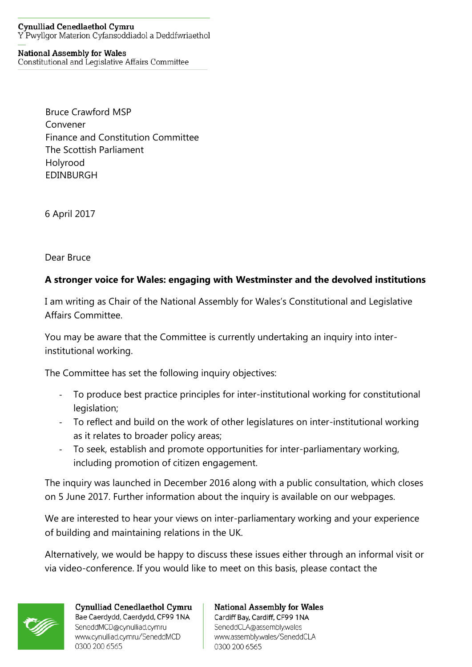## **Cynulliad Cenedlaethol Cymru** Y Pwyllgor Materion Cyfansoddiadol a Deddfwriaethol

## **National Assembly for Wales**

Constitutional and Legislative Affairs Committee

Bruce Crawford MSP Convener Finance and Constitution Committee The Scottish Parliament Holyrood EDINBURGH

6 April 2017

Dear Bruce

## **A stronger voice for Wales: engaging with Westminster and the devolved institutions**

I am writing as Chair of the National Assembly for Wales's Constitutional and Legislative Affairs Committee.

You may be aware that the Committee is currently undertaking an inquiry into interinstitutional working.

The Committee has set the following inquiry objectives:

- To produce best practice principles for inter-institutional working for constitutional legislation;
- To reflect and build on the work of other legislatures on inter-institutional working as it relates to broader policy areas;
- To seek, establish and promote opportunities for inter-parliamentary working, including promotion of citizen engagement.

The inquiry was launched in December 2016 along with a public consultation, which closes on 5 June 2017. Further information about the inquiry is available on our webpages.

We are interested to hear your views on inter-parliamentary working and your experience of building and maintaining relations in the UK.

Alternatively, we would be happy to discuss these issues either through an informal visit or via video-conference. If you would like to meet on this basis, please contact the



Cynulliad Cenedlaethol Cymru Bae Caerdydd, Caerdydd, CF99 1NA SeneddMCD@cynulliad.cymru www.cynulliad.cymru/SeneddMCD 0300 200 6565

**National Assembly for Wales** Cardiff Bay, Cardiff, CF99 1NA SeneddCLA@assembly.wales www.assembly.wales/SeneddCLA 0300 200 6565